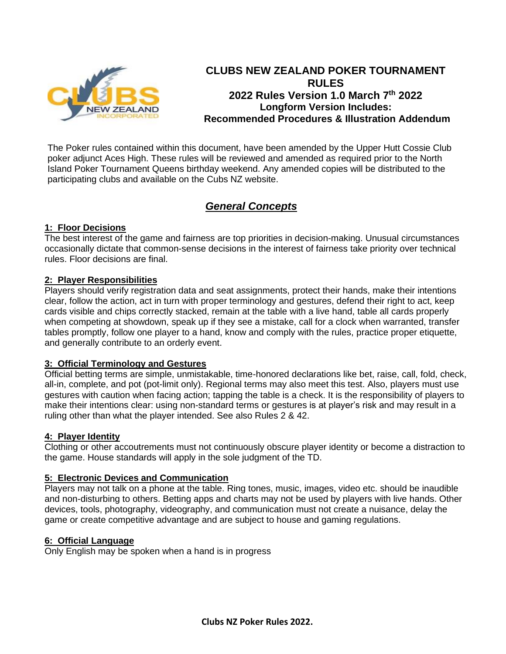

# **CLUBS NEW ZEALAND POKER TOURNAMENT RULES 2022 Rules Version 1.0 March 7th 2022 Longform Version Includes: Recommended Procedures & Illustration Addendum**

The Poker rules contained within this document, have been amended by the Upper Hutt Cossie Club poker adjunct Aces High. These rules will be reviewed and amended as required prior to the North Island Poker Tournament Queens birthday weekend. Any amended copies will be distributed to the participating clubs and available on the Cubs NZ website.

# *General Concepts*

### **1: Floor Decisions**

The best interest of the game and fairness are top priorities in decision-making. Unusual circumstances occasionally dictate that common-sense decisions in the interest of fairness take priority over technical rules. Floor decisions are final.

### **2: Player Responsibilities**

Players should verify registration data and seat assignments, protect their hands, make their intentions clear, follow the action, act in turn with proper terminology and gestures, defend their right to act, keep cards visible and chips correctly stacked, remain at the table with a live hand, table all cards properly when competing at showdown, speak up if they see a mistake, call for a clock when warranted, transfer tables promptly, follow one player to a hand, know and comply with the rules, practice proper etiquette, and generally contribute to an orderly event.

### **3: Official Terminology and Gestures**

Official betting terms are simple, unmistakable, time-honored declarations like bet, raise, call, fold, check, all-in, complete, and pot (pot-limit only). Regional terms may also meet this test. Also, players must use gestures with caution when facing action; tapping the table is a check. It is the responsibility of players to make their intentions clear: using non-standard terms or gestures is at player's risk and may result in a ruling other than what the player intended. See also Rules 2 & 42.

### **4: Player Identity**

Clothing or other accoutrements must not continuously obscure player identity or become a distraction to the game. House standards will apply in the sole judgment of the TD.

### **5: Electronic Devices and Communication**

Players may not talk on a phone at the table. Ring tones, music, images, video etc. should be inaudible and non-disturbing to others. Betting apps and charts may not be used by players with live hands. Other devices, tools, photography, videography, and communication must not create a nuisance, delay the game or create competitive advantage and are subject to house and gaming regulations.

### **6: Official Language**

Only English may be spoken when a hand is in progress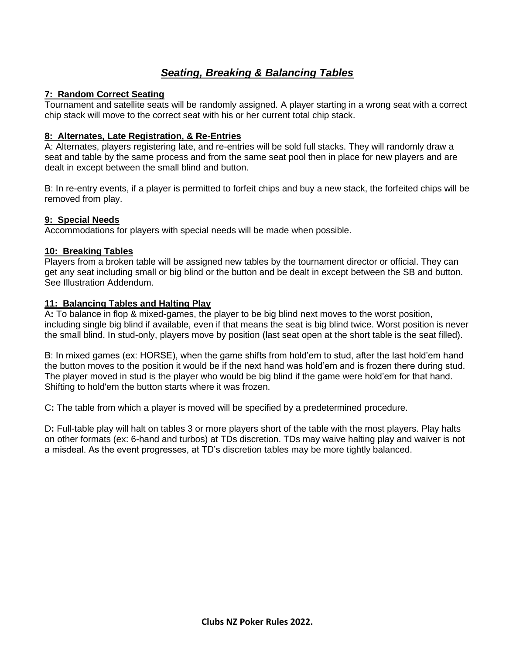# *Seating, Breaking & Balancing Tables*

### **7: Random Correct Seating**

Tournament and satellite seats will be randomly assigned. A player starting in a wrong seat with a correct chip stack will move to the correct seat with his or her current total chip stack.

### **8: Alternates, Late Registration, & Re-Entries**

A: Alternates, players registering late, and re-entries will be sold full stacks. They will randomly draw a seat and table by the same process and from the same seat pool then in place for new players and are dealt in except between the small blind and button.

B: In re-entry events, if a player is permitted to forfeit chips and buy a new stack, the forfeited chips will be removed from play.

### **9: Special Needs**

Accommodations for players with special needs will be made when possible.

### **10: Breaking Tables**

Players from a broken table will be assigned new tables by the tournament director or official. They can get any seat including small or big blind or the button and be dealt in except between the SB and button. See Illustration Addendum.

### **11: Balancing Tables and Halting Play**

A**:** To balance in flop & mixed-games, the player to be big blind next moves to the worst position, including single big blind if available, even if that means the seat is big blind twice. Worst position is never the small blind. In stud-only, players move by position (last seat open at the short table is the seat filled).

B: In mixed games (ex: HORSE), when the game shifts from hold'em to stud, after the last hold'em hand the button moves to the position it would be if the next hand was hold'em and is frozen there during stud. The player moved in stud is the player who would be big blind if the game were hold'em for that hand. Shifting to hold'em the button starts where it was frozen.

C**:** The table from which a player is moved will be specified by a predetermined procedure.

D**:** Full-table play will halt on tables 3 or more players short of the table with the most players. Play halts on other formats (ex: 6-hand and turbos) at TDs discretion. TDs may waive halting play and waiver is not a misdeal. As the event progresses, at TD's discretion tables may be more tightly balanced.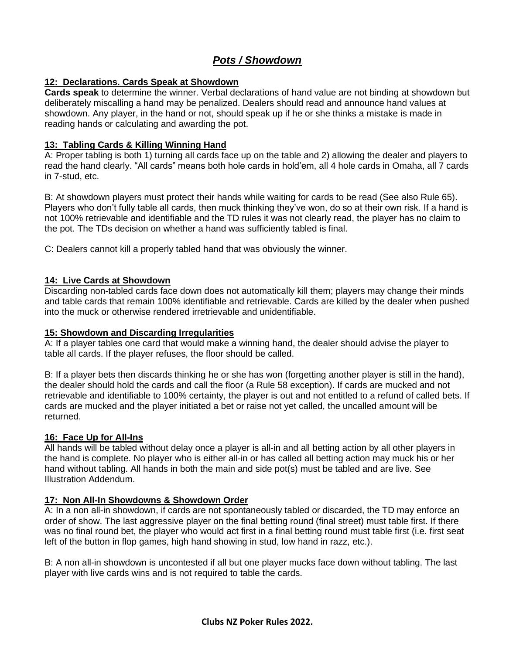# *Pots / Showdown*

### **12: Declarations. Cards Speak at Showdown**

**Cards speak** to determine the winner. Verbal declarations of hand value are not binding at showdown but deliberately miscalling a hand may be penalized. Dealers should read and announce hand values at showdown. Any player, in the hand or not, should speak up if he or she thinks a mistake is made in reading hands or calculating and awarding the pot.

#### **13: Tabling Cards & Killing Winning Hand**

A: Proper tabling is both 1) turning all cards face up on the table and 2) allowing the dealer and players to read the hand clearly. "All cards" means both hole cards in hold'em, all 4 hole cards in Omaha, all 7 cards in 7-stud, etc.

B: At showdown players must protect their hands while waiting for cards to be read (See also Rule 65). Players who don't fully table all cards, then muck thinking they've won, do so at their own risk. If a hand is not 100% retrievable and identifiable and the TD rules it was not clearly read, the player has no claim to the pot. The TDs decision on whether a hand was sufficiently tabled is final.

C: Dealers cannot kill a properly tabled hand that was obviously the winner.

#### **14: Live Cards at Showdown**

Discarding non-tabled cards face down does not automatically kill them; players may change their minds and table cards that remain 100% identifiable and retrievable. Cards are killed by the dealer when pushed into the muck or otherwise rendered irretrievable and unidentifiable.

#### **15: Showdown and Discarding Irregularities**

A: If a player tables one card that would make a winning hand, the dealer should advise the player to table all cards. If the player refuses, the floor should be called.

B: If a player bets then discards thinking he or she has won (forgetting another player is still in the hand), the dealer should hold the cards and call the floor (a Rule 58 exception). If cards are mucked and not retrievable and identifiable to 100% certainty, the player is out and not entitled to a refund of called bets. If cards are mucked and the player initiated a bet or raise not yet called, the uncalled amount will be returned.

### **16: Face Up for All-Ins**

All hands will be tabled without delay once a player is all-in and all betting action by all other players in the hand is complete. No player who is either all-in or has called all betting action may muck his or her hand without tabling. All hands in both the main and side pot(s) must be tabled and are live. See Illustration Addendum.

### **17: Non All-In Showdowns & Showdown Order**

A: In a non all-in showdown, if cards are not spontaneously tabled or discarded, the TD may enforce an order of show. The last aggressive player on the final betting round (final street) must table first. If there was no final round bet, the player who would act first in a final betting round must table first (i.e. first seat left of the button in flop games, high hand showing in stud, low hand in razz, etc.).

B: A non all-in showdown is uncontested if all but one player mucks face down without tabling. The last player with live cards wins and is not required to table the cards.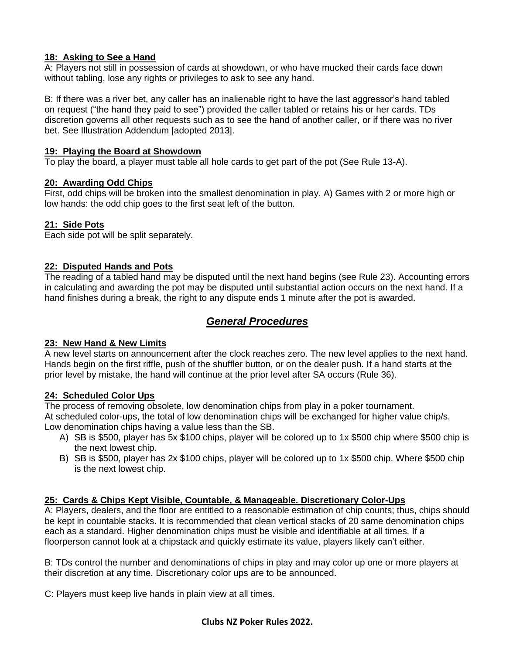### **18: Asking to See a Hand**

A: Players not still in possession of cards at showdown, or who have mucked their cards face down without tabling, lose any rights or privileges to ask to see any hand.

B: If there was a river bet, any caller has an inalienable right to have the last aggressor's hand tabled on request ("the hand they paid to see") provided the caller tabled or retains his or her cards. TDs discretion governs all other requests such as to see the hand of another caller, or if there was no river bet. See Illustration Addendum [adopted 2013].

### **19: Playing the Board at Showdown**

To play the board, a player must table all hole cards to get part of the pot (See Rule 13-A).

### **20: Awarding Odd Chips**

First, odd chips will be broken into the smallest denomination in play. A) Games with 2 or more high or low hands: the odd chip goes to the first seat left of the button.

### **21: Side Pots**

Each side pot will be split separately.

### **22: Disputed Hands and Pots**

The reading of a tabled hand may be disputed until the next hand begins (see Rule 23). Accounting errors in calculating and awarding the pot may be disputed until substantial action occurs on the next hand. If a hand finishes during a break, the right to any dispute ends 1 minute after the pot is awarded.

# *General Procedures*

### **23: New Hand & New Limits**

A new level starts on announcement after the clock reaches zero. The new level applies to the next hand. Hands begin on the first riffle, push of the shuffler button, or on the dealer push. If a hand starts at the prior level by mistake, the hand will continue at the prior level after SA occurs (Rule 36).

### **24: Scheduled Color Ups**

The process of removing obsolete, low denomination chips from play in a poker tournament. At scheduled color-ups, the total of low denomination chips will be exchanged for higher value chip/s. Low denomination chips having a value less than the SB.

- A) SB is \$500, player has 5x \$100 chips, player will be colored up to 1x \$500 chip where \$500 chip is the next lowest chip.
- B) SB is \$500, player has 2x \$100 chips, player will be colored up to 1x \$500 chip. Where \$500 chip is the next lowest chip.

## **25: Cards & Chips Kept Visible, Countable, & Manageable. Discretionary Color-Ups**

A: Players, dealers, and the floor are entitled to a reasonable estimation of chip counts; thus, chips should be kept in countable stacks. It is recommended that clean vertical stacks of 20 same denomination chips each as a standard. Higher denomination chips must be visible and identifiable at all times. If a floorperson cannot look at a chipstack and quickly estimate its value, players likely can't either.

B: TDs control the number and denominations of chips in play and may color up one or more players at their discretion at any time. Discretionary color ups are to be announced.

C: Players must keep live hands in plain view at all times.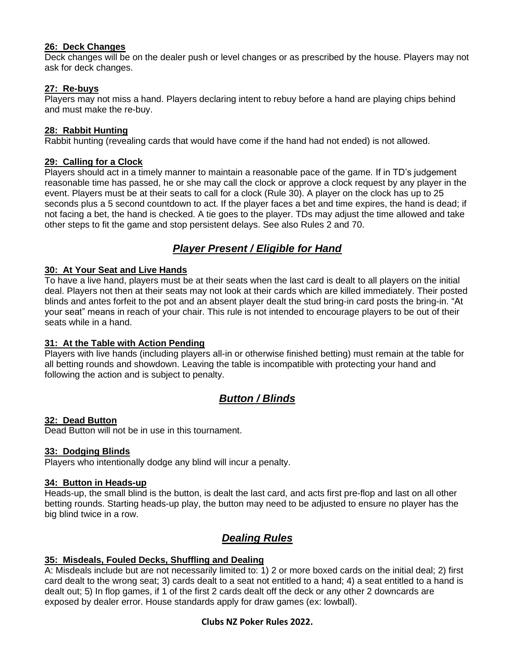### **26: Deck Changes**

Deck changes will be on the dealer push or level changes or as prescribed by the house. Players may not ask for deck changes.

### **27: Re-buys**

Players may not miss a hand. Players declaring intent to rebuy before a hand are playing chips behind and must make the re-buy.

#### **28: Rabbit Hunting**

Rabbit hunting (revealing cards that would have come if the hand had not ended) is not allowed.

#### **29: Calling for a Clock**

Players should act in a timely manner to maintain a reasonable pace of the game. If in TD's judgement reasonable time has passed, he or she may call the clock or approve a clock request by any player in the event. Players must be at their seats to call for a clock (Rule 30). A player on the clock has up to 25 seconds plus a 5 second countdown to act. If the player faces a bet and time expires, the hand is dead; if not facing a bet, the hand is checked. A tie goes to the player. TDs may adjust the time allowed and take other steps to fit the game and stop persistent delays. See also Rules 2 and 70.

# *Player Present / Eligible for Hand*

#### **30: At Your Seat and Live Hands**

To have a live hand, players must be at their seats when the last card is dealt to all players on the initial deal. Players not then at their seats may not look at their cards which are killed immediately. Their posted blinds and antes forfeit to the pot and an absent player dealt the stud bring-in card posts the bring-in. "At your seat" means in reach of your chair. This rule is not intended to encourage players to be out of their seats while in a hand.

### **31: At the Table with Action Pending**

Players with live hands (including players all-in or otherwise finished betting) must remain at the table for all betting rounds and showdown. Leaving the table is incompatible with protecting your hand and following the action and is subject to penalty.

# *Button / Blinds*

#### **32: Dead Button**

Dead Button will not be in use in this tournament.

### **33: Dodging Blinds**

Players who intentionally dodge any blind will incur a penalty.

#### **34: Button in Heads-up**

Heads-up, the small blind is the button, is dealt the last card, and acts first pre-flop and last on all other betting rounds. Starting heads-up play, the button may need to be adjusted to ensure no player has the big blind twice in a row.

## *Dealing Rules*

### **35: Misdeals, Fouled Decks, Shuffling and Dealing**

A: Misdeals include but are not necessarily limited to: 1) 2 or more boxed cards on the initial deal; 2) first card dealt to the wrong seat; 3) cards dealt to a seat not entitled to a hand; 4) a seat entitled to a hand is dealt out; 5) In flop games, if 1 of the first 2 cards dealt off the deck or any other 2 downcards are exposed by dealer error. House standards apply for draw games (ex: lowball).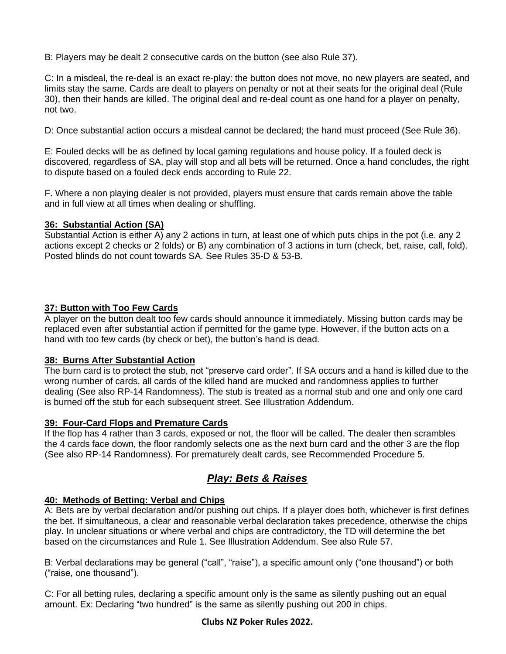B: Players may be dealt 2 consecutive cards on the button (see also Rule 37).

C: In a misdeal, the re-deal is an exact re-play: the button does not move, no new players are seated, and limits stay the same. Cards are dealt to players on penalty or not at their seats for the original deal (Rule 30), then their hands are killed. The original deal and re-deal count as one hand for a player on penalty, not two.

D: Once substantial action occurs a misdeal cannot be declared; the hand must proceed (See Rule 36).

E: Fouled decks will be as defined by local gaming regulations and house policy. If a fouled deck is discovered, regardless of SA, play will stop and all bets will be returned. Once a hand concludes, the right to dispute based on a fouled deck ends according to Rule 22.

F. Where a non playing dealer is not provided, players must ensure that cards remain above the table and in full view at all times when dealing or shuffling.

### **36: Substantial Action (SA)**

Substantial Action is either A) any 2 actions in turn, at least one of which puts chips in the pot (i.e. any 2 actions except 2 checks or 2 folds) or B) any combination of 3 actions in turn (check, bet, raise, call, fold). Posted blinds do not count towards SA. See Rules 35-D & 53-B.

### **37: Button with Too Few Cards**

A player on the button dealt too few cards should announce it immediately. Missing button cards may be replaced even after substantial action if permitted for the game type. However, if the button acts on a hand with too few cards (by check or bet), the button's hand is dead.

### **38: Burns After Substantial Action**

The burn card is to protect the stub, not "preserve card order". If SA occurs and a hand is killed due to the wrong number of cards, all cards of the killed hand are mucked and randomness applies to further dealing (See also RP-14 Randomness). The stub is treated as a normal stub and one and only one card is burned off the stub for each subsequent street. See Illustration Addendum.

### **39: Four-Card Flops and Premature Cards**

If the flop has 4 rather than 3 cards, exposed or not, the floor will be called. The dealer then scrambles the 4 cards face down, the floor randomly selects one as the next burn card and the other 3 are the flop (See also RP-14 Randomness). For prematurely dealt cards, see Recommended Procedure 5.

# *Play: Bets & Raises*

### **40: Methods of Betting: Verbal and Chips**

A: Bets are by verbal declaration and/or pushing out chips. If a player does both, whichever is first defines the bet. If simultaneous, a clear and reasonable verbal declaration takes precedence, otherwise the chips play. In unclear situations or where verbal and chips are contradictory, the TD will determine the bet based on the circumstances and Rule 1. See Illustration Addendum. See also Rule 57.

B: Verbal declarations may be general ("call", "raise"), a specific amount only ("one thousand") or both ("raise, one thousand").

C: For all betting rules, declaring a specific amount only is the same as silently pushing out an equal amount. Ex: Declaring "two hundred" is the same as silently pushing out 200 in chips.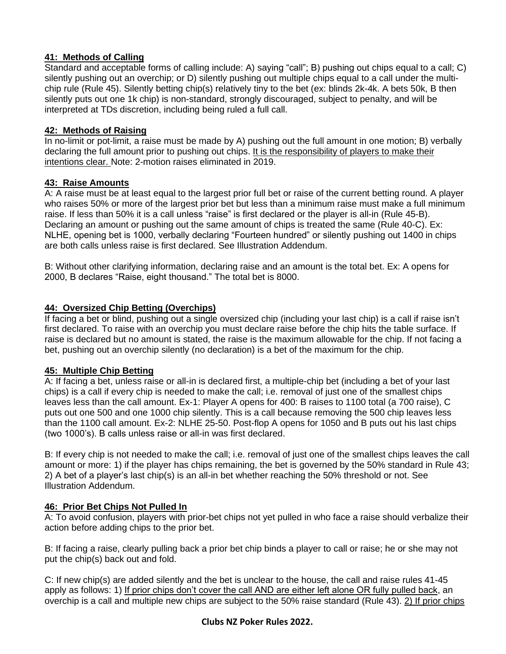## **41: Methods of Calling**

Standard and acceptable forms of calling include: A) saying "call"; B) pushing out chips equal to a call; C) silently pushing out an overchip; or D) silently pushing out multiple chips equal to a call under the multichip rule (Rule 45). Silently betting chip(s) relatively tiny to the bet (ex: blinds 2k-4k. A bets 50k, B then silently puts out one 1k chip) is non-standard, strongly discouraged, subject to penalty, and will be interpreted at TDs discretion, including being ruled a full call.

### **42: Methods of Raising**

In no-limit or pot-limit, a raise must be made by A) pushing out the full amount in one motion; B) verbally declaring the full amount prior to pushing out chips. It is the responsibility of players to make their intentions clear. Note: 2-motion raises eliminated in 2019.

### **43: Raise Amounts**

A: A raise must be at least equal to the largest prior full bet or raise of the current betting round. A player who raises 50% or more of the largest prior bet but less than a minimum raise must make a full minimum raise. If less than 50% it is a call unless "raise" is first declared or the player is all-in (Rule 45-B). Declaring an amount or pushing out the same amount of chips is treated the same (Rule 40-C). Ex: NLHE, opening bet is 1000, verbally declaring "Fourteen hundred" or silently pushing out 1400 in chips are both calls unless raise is first declared. See Illustration Addendum.

B: Without other clarifying information, declaring raise and an amount is the total bet. Ex: A opens for 2000, B declares "Raise, eight thousand." The total bet is 8000.

### **44: Oversized Chip Betting (Overchips)**

If facing a bet or blind, pushing out a single oversized chip (including your last chip) is a call if raise isn't first declared. To raise with an overchip you must declare raise before the chip hits the table surface. If raise is declared but no amount is stated, the raise is the maximum allowable for the chip. If not facing a bet, pushing out an overchip silently (no declaration) is a bet of the maximum for the chip.

### **45: Multiple Chip Betting**

A: If facing a bet, unless raise or all-in is declared first, a multiple-chip bet (including a bet of your last chips) is a call if every chip is needed to make the call; i.e. removal of just one of the smallest chips leaves less than the call amount. Ex-1: Player A opens for 400: B raises to 1100 total (a 700 raise), C puts out one 500 and one 1000 chip silently. This is a call because removing the 500 chip leaves less than the 1100 call amount. Ex-2: NLHE 25-50. Post-flop A opens for 1050 and B puts out his last chips (two 1000's). B calls unless raise or all-in was first declared.

B: If every chip is not needed to make the call; i.e. removal of just one of the smallest chips leaves the call amount or more: 1) if the player has chips remaining, the bet is governed by the 50% standard in Rule 43; 2) A bet of a player's last chip(s) is an all-in bet whether reaching the 50% threshold or not. See Illustration Addendum.

### **46: Prior Bet Chips Not Pulled In**

A: To avoid confusion, players with prior-bet chips not yet pulled in who face a raise should verbalize their action before adding chips to the prior bet.

B: If facing a raise, clearly pulling back a prior bet chip binds a player to call or raise; he or she may not put the chip(s) back out and fold.

C: If new chip(s) are added silently and the bet is unclear to the house, the call and raise rules 41-45 apply as follows: 1) If prior chips don't cover the call AND are either left alone OR fully pulled back, an overchip is a call and multiple new chips are subject to the 50% raise standard (Rule 43). 2) If prior chips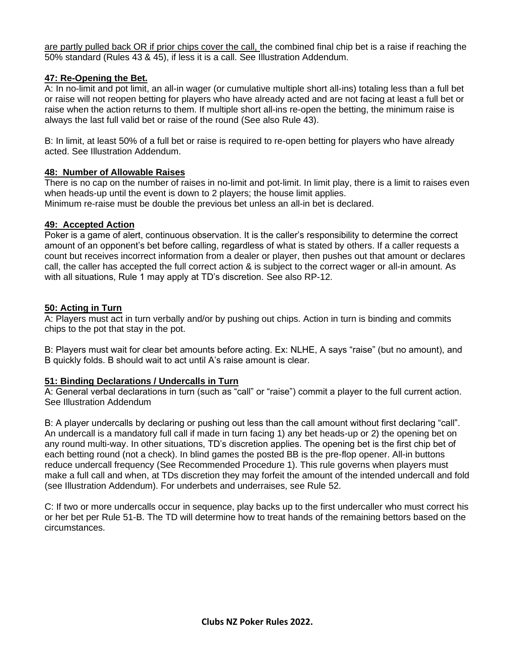are partly pulled back OR if prior chips cover the call, the combined final chip bet is a raise if reaching the 50% standard (Rules 43 & 45), if less it is a call. See Illustration Addendum.

### **47: Re-Opening the Bet.**

A: In no-limit and pot limit, an all-in wager (or cumulative multiple short all-ins) totaling less than a full bet or raise will not reopen betting for players who have already acted and are not facing at least a full bet or raise when the action returns to them. If multiple short all-ins re-open the betting, the minimum raise is always the last full valid bet or raise of the round (See also Rule 43).

B: In limit, at least 50% of a full bet or raise is required to re-open betting for players who have already acted. See Illustration Addendum.

### **48: Number of Allowable Raises**

There is no cap on the number of raises in no-limit and pot-limit. In limit play, there is a limit to raises even when heads-up until the event is down to 2 players; the house limit applies. Minimum re-raise must be double the previous bet unless an all-in bet is declared.

### **49: Accepted Action**

Poker is a game of alert, continuous observation. It is the caller's responsibility to determine the correct amount of an opponent's bet before calling, regardless of what is stated by others. If a caller requests a count but receives incorrect information from a dealer or player, then pushes out that amount or declares call, the caller has accepted the full correct action & is subject to the correct wager or all-in amount. As with all situations, Rule 1 may apply at TD's discretion. See also RP-12.

### **50: Acting in Turn**

A: Players must act in turn verbally and/or by pushing out chips. Action in turn is binding and commits chips to the pot that stay in the pot.

B: Players must wait for clear bet amounts before acting. Ex: NLHE, A says "raise" (but no amount), and B quickly folds. B should wait to act until A's raise amount is clear.

## **51: Binding Declarations / Undercalls in Turn**

A: General verbal declarations in turn (such as "call" or "raise") commit a player to the full current action. See Illustration Addendum

B: A player undercalls by declaring or pushing out less than the call amount without first declaring "call". An undercall is a mandatory full call if made in turn facing 1) any bet heads-up or 2) the opening bet on any round multi-way. In other situations, TD's discretion applies. The opening bet is the first chip bet of each betting round (not a check). In blind games the posted BB is the pre-flop opener. All-in buttons reduce undercall frequency (See Recommended Procedure 1). This rule governs when players must make a full call and when, at TDs discretion they may forfeit the amount of the intended undercall and fold (see Illustration Addendum). For underbets and underraises, see Rule 52.

C: If two or more undercalls occur in sequence, play backs up to the first undercaller who must correct his or her bet per Rule 51-B. The TD will determine how to treat hands of the remaining bettors based on the circumstances.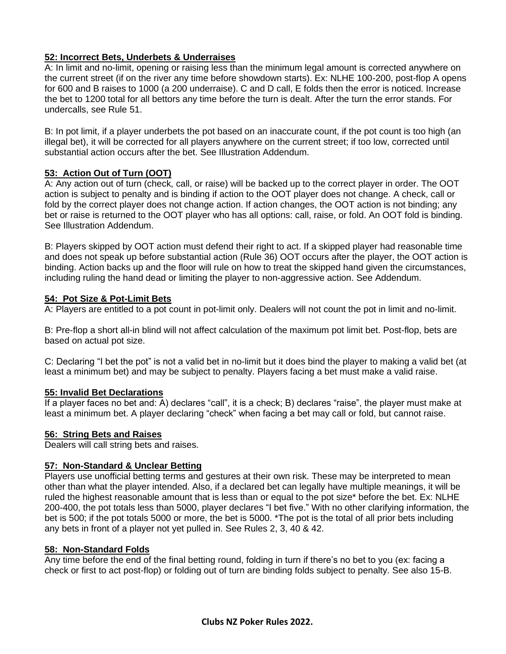## **52: Incorrect Bets, Underbets & Underraises**

A: In limit and no-limit, opening or raising less than the minimum legal amount is corrected anywhere on the current street (if on the river any time before showdown starts). Ex: NLHE 100-200, post-flop A opens for 600 and B raises to 1000 (a 200 underraise). C and D call, E folds then the error is noticed. Increase the bet to 1200 total for all bettors any time before the turn is dealt. After the turn the error stands. For undercalls, see Rule 51.

B: In pot limit, if a player underbets the pot based on an inaccurate count, if the pot count is too high (an illegal bet), it will be corrected for all players anywhere on the current street; if too low, corrected until substantial action occurs after the bet. See Illustration Addendum.

## **53: Action Out of Turn (OOT)**

A: Any action out of turn (check, call, or raise) will be backed up to the correct player in order. The OOT action is subject to penalty and is binding if action to the OOT player does not change. A check, call or fold by the correct player does not change action. If action changes, the OOT action is not binding; any bet or raise is returned to the OOT player who has all options: call, raise, or fold. An OOT fold is binding. See Illustration Addendum.

B: Players skipped by OOT action must defend their right to act. If a skipped player had reasonable time and does not speak up before substantial action (Rule 36) OOT occurs after the player, the OOT action is binding. Action backs up and the floor will rule on how to treat the skipped hand given the circumstances, including ruling the hand dead or limiting the player to non-aggressive action. See Addendum.

### **54: Pot Size & Pot-Limit Bets**

A: Players are entitled to a pot count in pot-limit only. Dealers will not count the pot in limit and no-limit.

B: Pre-flop a short all-in blind will not affect calculation of the maximum pot limit bet. Post-flop, bets are based on actual pot size.

C: Declaring "I bet the pot" is not a valid bet in no-limit but it does bind the player to making a valid bet (at least a minimum bet) and may be subject to penalty. Players facing a bet must make a valid raise.

### **55: Invalid Bet Declarations**

If a player faces no bet and: A) declares "call", it is a check; B) declares "raise", the player must make at least a minimum bet. A player declaring "check" when facing a bet may call or fold, but cannot raise.

### **56: String Bets and Raises**

Dealers will call string bets and raises.

## **57: Non-Standard & Unclear Betting**

Players use unofficial betting terms and gestures at their own risk. These may be interpreted to mean other than what the player intended. Also, if a declared bet can legally have multiple meanings, it will be ruled the highest reasonable amount that is less than or equal to the pot size\* before the bet. Ex: NLHE 200-400, the pot totals less than 5000, player declares "I bet five." With no other clarifying information, the bet is 500; if the pot totals 5000 or more, the bet is 5000. \*The pot is the total of all prior bets including any bets in front of a player not yet pulled in. See Rules 2, 3, 40 & 42.

### **58: Non-Standard Folds**

Any time before the end of the final betting round, folding in turn if there's no bet to you (ex: facing a check or first to act post-flop) or folding out of turn are binding folds subject to penalty. See also 15-B.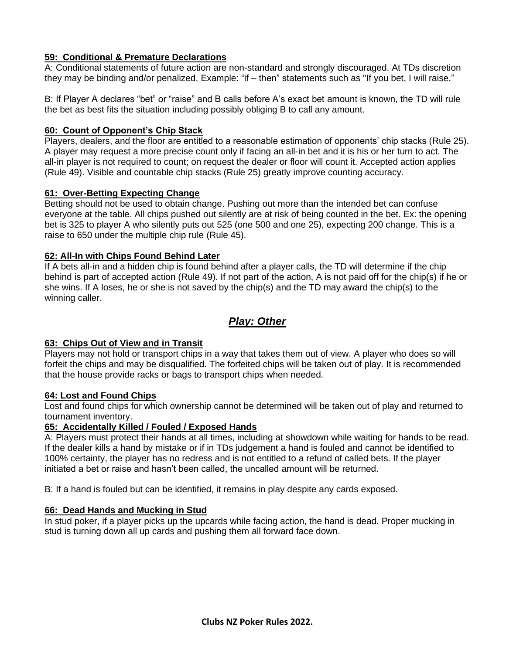### **59: Conditional & Premature Declarations**

A: Conditional statements of future action are non-standard and strongly discouraged. At TDs discretion they may be binding and/or penalized. Example: "if – then" statements such as "If you bet, I will raise."

B: If Player A declares "bet" or "raise" and B calls before A's exact bet amount is known, the TD will rule the bet as best fits the situation including possibly obliging B to call any amount.

#### **60: Count of Opponent's Chip Stack**

Players, dealers, and the floor are entitled to a reasonable estimation of opponents' chip stacks (Rule 25). A player may request a more precise count only if facing an all-in bet and it is his or her turn to act. The all-in player is not required to count; on request the dealer or floor will count it. Accepted action applies (Rule 49). Visible and countable chip stacks (Rule 25) greatly improve counting accuracy.

#### **61: Over-Betting Expecting Change**

Betting should not be used to obtain change. Pushing out more than the intended bet can confuse everyone at the table. All chips pushed out silently are at risk of being counted in the bet. Ex: the opening bet is 325 to player A who silently puts out 525 (one 500 and one 25), expecting 200 change. This is a raise to 650 under the multiple chip rule (Rule 45).

#### **62: All-In with Chips Found Behind Later**

If A bets all-in and a hidden chip is found behind after a player calls, the TD will determine if the chip behind is part of accepted action (Rule 49). If not part of the action, A is not paid off for the chip(s) if he or she wins. If A loses, he or she is not saved by the chip(s) and the TD may award the chip(s) to the winning caller.

## *Play: Other*

### **63: Chips Out of View and in Transit**

Players may not hold or transport chips in a way that takes them out of view. A player who does so will forfeit the chips and may be disqualified. The forfeited chips will be taken out of play. It is recommended that the house provide racks or bags to transport chips when needed.

#### **64: Lost and Found Chips**

Lost and found chips for which ownership cannot be determined will be taken out of play and returned to tournament inventory.

#### **65: Accidentally Killed / Fouled / Exposed Hands**

A: Players must protect their hands at all times, including at showdown while waiting for hands to be read. If the dealer kills a hand by mistake or if in TDs judgement a hand is fouled and cannot be identified to 100% certainty, the player has no redress and is not entitled to a refund of called bets. If the player initiated a bet or raise and hasn't been called, the uncalled amount will be returned.

B: If a hand is fouled but can be identified, it remains in play despite any cards exposed.

### **66: Dead Hands and Mucking in Stud**

In stud poker, if a player picks up the upcards while facing action, the hand is dead. Proper mucking in stud is turning down all up cards and pushing them all forward face down.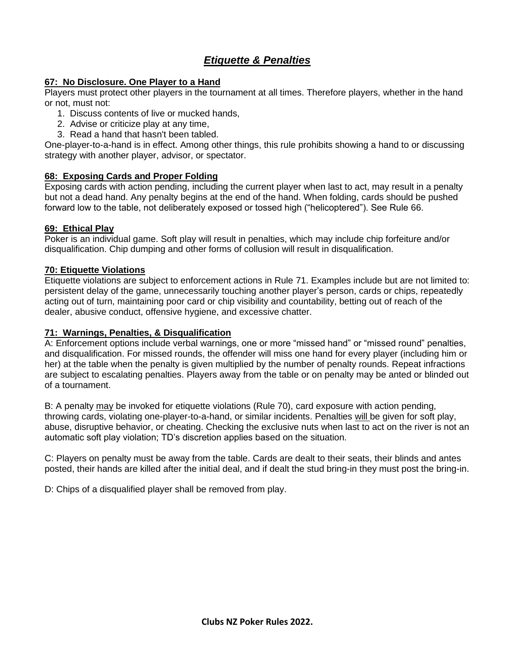# *Etiquette & Penalties*

#### **67: No Disclosure. One Player to a Hand**

Players must protect other players in the tournament at all times. Therefore players, whether in the hand or not, must not:

- 1. Discuss contents of live or mucked hands,
- 2. Advise or criticize play at any time,
- 3. Read a hand that hasn't been tabled.

One-player-to-a-hand is in effect. Among other things, this rule prohibits showing a hand to or discussing strategy with another player, advisor, or spectator.

#### **68: Exposing Cards and Proper Folding**

Exposing cards with action pending, including the current player when last to act, may result in a penalty but not a dead hand. Any penalty begins at the end of the hand. When folding, cards should be pushed forward low to the table, not deliberately exposed or tossed high ("helicoptered"). See Rule 66.

#### **69: Ethical Play**

Poker is an individual game. Soft play will result in penalties, which may include chip forfeiture and/or disqualification. Chip dumping and other forms of collusion will result in disqualification.

#### **70: Etiquette Violations**

Etiquette violations are subject to enforcement actions in Rule 71. Examples include but are not limited to: persistent delay of the game, unnecessarily touching another player's person, cards or chips, repeatedly acting out of turn, maintaining poor card or chip visibility and countability, betting out of reach of the dealer, abusive conduct, offensive hygiene, and excessive chatter.

#### **71: Warnings, Penalties, & Disqualification**

A: Enforcement options include verbal warnings, one or more "missed hand" or "missed round" penalties, and disqualification. For missed rounds, the offender will miss one hand for every player (including him or her) at the table when the penalty is given multiplied by the number of penalty rounds. Repeat infractions are subject to escalating penalties. Players away from the table or on penalty may be anted or blinded out of a tournament.

B: A penalty may be invoked for etiquette violations (Rule 70), card exposure with action pending, throwing cards, violating one-player-to-a-hand, or similar incidents. Penalties will be given for soft play, abuse, disruptive behavior, or cheating. Checking the exclusive nuts when last to act on the river is not an automatic soft play violation; TD's discretion applies based on the situation.

C: Players on penalty must be away from the table. Cards are dealt to their seats, their blinds and antes posted, their hands are killed after the initial deal, and if dealt the stud bring-in they must post the bring-in.

D: Chips of a disqualified player shall be removed from play.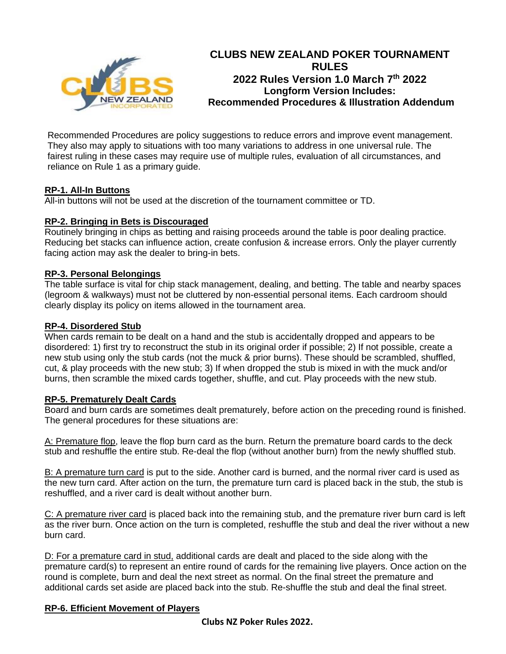

# **CLUBS NEW ZEALAND POKER TOURNAMENT RULES 2022 Rules Version 1.0 March 7th 2022 Longform Version Includes: Recommended Procedures & Illustration Addendum**

Recommended Procedures are policy suggestions to reduce errors and improve event management. They also may apply to situations with too many variations to address in one universal rule. The fairest ruling in these cases may require use of multiple rules, evaluation of all circumstances, and reliance on Rule 1 as a primary guide.

### **RP-1. All-In Buttons**

All-in buttons will not be used at the discretion of the tournament committee or TD.

### **RP-2. Bringing in Bets is Discouraged**

Routinely bringing in chips as betting and raising proceeds around the table is poor dealing practice. Reducing bet stacks can influence action, create confusion & increase errors. Only the player currently facing action may ask the dealer to bring-in bets.

### **RP-3. Personal Belongings**

The table surface is vital for chip stack management, dealing, and betting. The table and nearby spaces (legroom & walkways) must not be cluttered by non-essential personal items. Each cardroom should clearly display its policy on items allowed in the tournament area.

### **RP-4. Disordered Stub**

When cards remain to be dealt on a hand and the stub is accidentally dropped and appears to be disordered: 1) first try to reconstruct the stub in its original order if possible; 2) If not possible, create a new stub using only the stub cards (not the muck & prior burns). These should be scrambled, shuffled, cut, & play proceeds with the new stub; 3) If when dropped the stub is mixed in with the muck and/or burns, then scramble the mixed cards together, shuffle, and cut. Play proceeds with the new stub.

### **RP-5. Prematurely Dealt Cards**

Board and burn cards are sometimes dealt prematurely, before action on the preceding round is finished. The general procedures for these situations are:

A: Premature flop, leave the flop burn card as the burn. Return the premature board cards to the deck stub and reshuffle the entire stub. Re-deal the flop (without another burn) from the newly shuffled stub.

B: A premature turn card is put to the side. Another card is burned, and the normal river card is used as the new turn card. After action on the turn, the premature turn card is placed back in the stub, the stub is reshuffled, and a river card is dealt without another burn.

C: A premature river card is placed back into the remaining stub, and the premature river burn card is left as the river burn. Once action on the turn is completed, reshuffle the stub and deal the river without a new burn card.

D: For a premature card in stud, additional cards are dealt and placed to the side along with the premature card(s) to represent an entire round of cards for the remaining live players. Once action on the round is complete, burn and deal the next street as normal. On the final street the premature and additional cards set aside are placed back into the stub. Re-shuffle the stub and deal the final street.

## **RP-6. Efficient Movement of Players**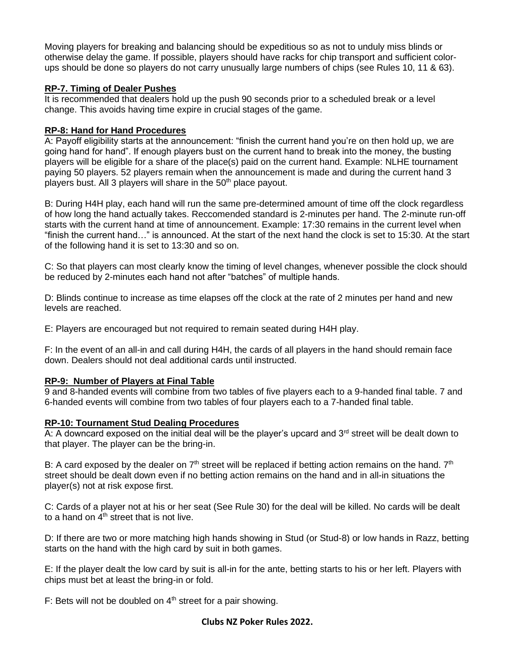Moving players for breaking and balancing should be expeditious so as not to unduly miss blinds or otherwise delay the game. If possible, players should have racks for chip transport and sufficient colorups should be done so players do not carry unusually large numbers of chips (see Rules 10, 11 & 63).

### **RP-7. Timing of Dealer Pushes**

It is recommended that dealers hold up the push 90 seconds prior to a scheduled break or a level change. This avoids having time expire in crucial stages of the game.

### **RP-8: Hand for Hand Procedures**

A: Payoff eligibility starts at the announcement: "finish the current hand you're on then hold up, we are going hand for hand". If enough players bust on the current hand to break into the money, the busting players will be eligible for a share of the place(s) paid on the current hand. Example: NLHE tournament paying 50 players. 52 players remain when the announcement is made and during the current hand 3 players bust. All 3 players will share in the 50<sup>th</sup> place payout.

B: During H4H play, each hand will run the same pre-determined amount of time off the clock regardless of how long the hand actually takes. Reccomended standard is 2-minutes per hand. The 2-minute run-off starts with the current hand at time of announcement. Example: 17:30 remains in the current level when "finish the current hand…" is announced. At the start of the next hand the clock is set to 15:30. At the start of the following hand it is set to 13:30 and so on.

C: So that players can most clearly know the timing of level changes, whenever possible the clock should be reduced by 2-minutes each hand not after "batches" of multiple hands.

D: Blinds continue to increase as time elapses off the clock at the rate of 2 minutes per hand and new levels are reached.

E: Players are encouraged but not required to remain seated during H4H play.

F: In the event of an all-in and call during H4H, the cards of all players in the hand should remain face down. Dealers should not deal additional cards until instructed.

## **RP-9: Number of Players at Final Table**

9 and 8-handed events will combine from two tables of five players each to a 9-handed final table. 7 and 6-handed events will combine from two tables of four players each to a 7-handed final table.

### **RP-10: Tournament Stud Dealing Procedures**

A: A downcard exposed on the initial deal will be the player's upcard and  $3<sup>rd</sup>$  street will be dealt down to that player. The player can be the bring-in.

B: A card exposed by the dealer on  $7<sup>th</sup>$  street will be replaced if betting action remains on the hand.  $7<sup>th</sup>$ street should be dealt down even if no betting action remains on the hand and in all-in situations the player(s) not at risk expose first.

C: Cards of a player not at his or her seat (See Rule 30) for the deal will be killed. No cards will be dealt to a hand on  $4<sup>th</sup>$  street that is not live.

D: If there are two or more matching high hands showing in Stud (or Stud-8) or low hands in Razz, betting starts on the hand with the high card by suit in both games.

E: If the player dealt the low card by suit is all-in for the ante, betting starts to his or her left. Players with chips must bet at least the bring-in or fold.

F: Bets will not be doubled on  $4<sup>th</sup>$  street for a pair showing.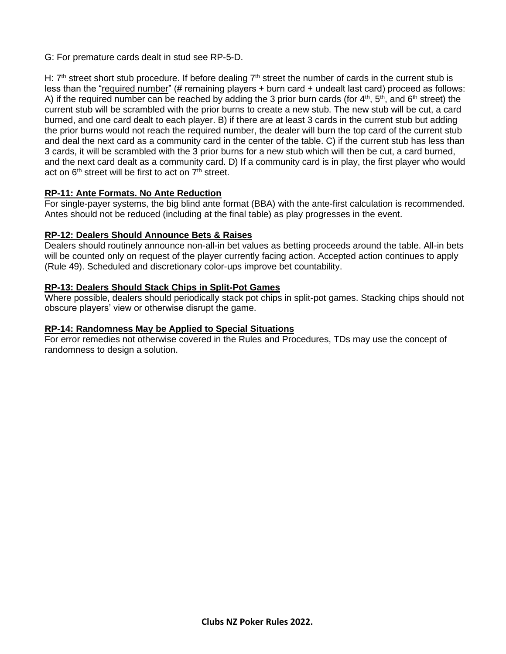G: For premature cards dealt in stud see RP-5-D.

H:  $7<sup>th</sup>$  street short stub procedure. If before dealing  $7<sup>th</sup>$  street the number of cards in the current stub is less than the "required number" (# remaining players + burn card + undealt last card) proceed as follows: A) if the required number can be reached by adding the 3 prior burn cards (for  $4<sup>th</sup>$ ,  $5<sup>th</sup>$ , and  $6<sup>th</sup>$  street) the current stub will be scrambled with the prior burns to create a new stub. The new stub will be cut, a card burned, and one card dealt to each player. B) if there are at least 3 cards in the current stub but adding the prior burns would not reach the required number, the dealer will burn the top card of the current stub and deal the next card as a community card in the center of the table. C) if the current stub has less than 3 cards, it will be scrambled with the 3 prior burns for a new stub which will then be cut, a card burned, and the next card dealt as a community card. D) If a community card is in play, the first player who would act on  $6<sup>th</sup>$  street will be first to act on  $7<sup>th</sup>$  street.

### **RP-11: Ante Formats. No Ante Reduction**

For single-payer systems, the big blind ante format (BBA) with the ante-first calculation is recommended. Antes should not be reduced (including at the final table) as play progresses in the event.

### **RP-12: Dealers Should Announce Bets & Raises**

Dealers should routinely announce non-all-in bet values as betting proceeds around the table. All-in bets will be counted only on request of the player currently facing action. Accepted action continues to apply (Rule 49). Scheduled and discretionary color-ups improve bet countability.

### **RP-13: Dealers Should Stack Chips in Split-Pot Games**

Where possible, dealers should periodically stack pot chips in split-pot games. Stacking chips should not obscure players' view or otherwise disrupt the game.

### **RP-14: Randomness May be Applied to Special Situations**

For error remedies not otherwise covered in the Rules and Procedures, TDs may use the concept of randomness to design a solution.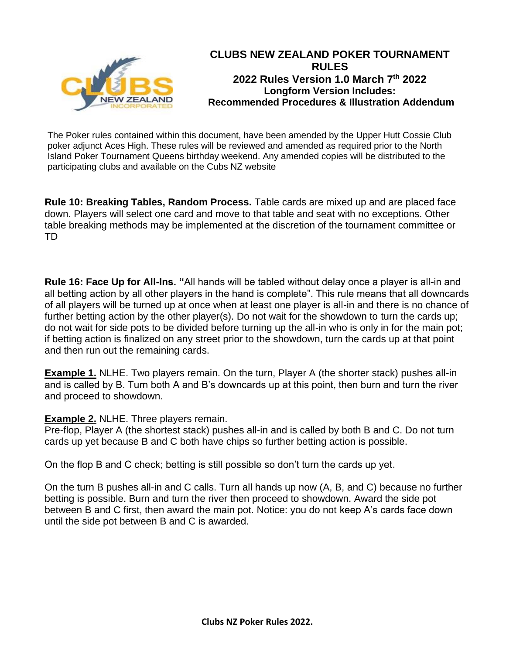

The Poker rules contained within this document, have been amended by the Upper Hutt Cossie Club poker adjunct Aces High. These rules will be reviewed and amended as required prior to the North Island Poker Tournament Queens birthday weekend. Any amended copies will be distributed to the participating clubs and available on the Cubs NZ website

**Rule 10: Breaking Tables, Random Process.** Table cards are mixed up and are placed face down. Players will select one card and move to that table and seat with no exceptions. Other table breaking methods may be implemented at the discretion of the tournament committee or TD

**Rule 16: Face Up for All-Ins. "**All hands will be tabled without delay once a player is all-in and all betting action by all other players in the hand is complete". This rule means that all downcards of all players will be turned up at once when at least one player is all-in and there is no chance of further betting action by the other player(s). Do not wait for the showdown to turn the cards up; do not wait for side pots to be divided before turning up the all-in who is only in for the main pot; if betting action is finalized on any street prior to the showdown, turn the cards up at that point and then run out the remaining cards.

**Example 1.** NLHE. Two players remain. On the turn, Player A (the shorter stack) pushes all-in and is called by B. Turn both A and B's downcards up at this point, then burn and turn the river and proceed to showdown.

## **Example 2.** NLHE. Three players remain.

Pre-flop, Player A (the shortest stack) pushes all-in and is called by both B and C. Do not turn cards up yet because B and C both have chips so further betting action is possible.

On the flop B and C check; betting is still possible so don't turn the cards up yet.

On the turn B pushes all-in and C calls. Turn all hands up now (A, B, and C) because no further betting is possible. Burn and turn the river then proceed to showdown. Award the side pot between B and C first, then award the main pot. Notice: you do not keep A's cards face down until the side pot between B and C is awarded.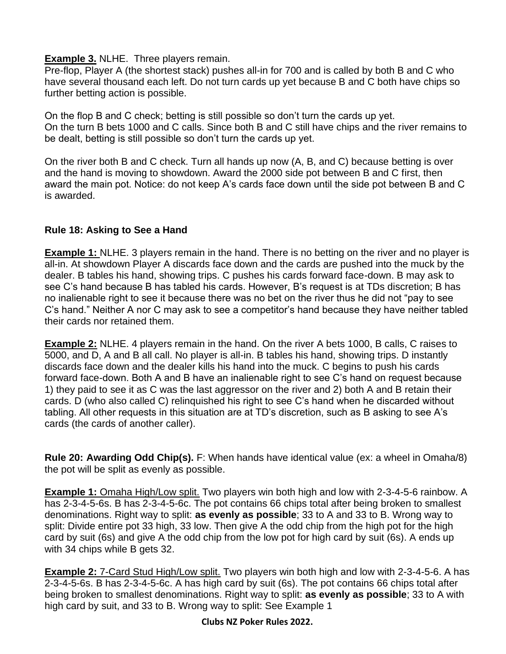## **Example 3.** NLHE. Three players remain.

Pre-flop, Player A (the shortest stack) pushes all-in for 700 and is called by both B and C who have several thousand each left. Do not turn cards up yet because B and C both have chips so further betting action is possible.

On the flop B and C check; betting is still possible so don't turn the cards up yet. On the turn B bets 1000 and C calls. Since both B and C still have chips and the river remains to be dealt, betting is still possible so don't turn the cards up yet.

On the river both B and C check. Turn all hands up now (A, B, and C) because betting is over and the hand is moving to showdown. Award the 2000 side pot between B and C first, then award the main pot. Notice: do not keep A's cards face down until the side pot between B and C is awarded.

# **Rule 18: Asking to See a Hand**

**Example 1:** NLHE. 3 players remain in the hand. There is no betting on the river and no player is all-in. At showdown Player A discards face down and the cards are pushed into the muck by the dealer. B tables his hand, showing trips. C pushes his cards forward face-down. B may ask to see C's hand because B has tabled his cards. However, B's request is at TDs discretion; B has no inalienable right to see it because there was no bet on the river thus he did not "pay to see C's hand." Neither A nor C may ask to see a competitor's hand because they have neither tabled their cards nor retained them.

**Example 2:** NLHE. 4 players remain in the hand. On the river A bets 1000, B calls, C raises to 5000, and D, A and B all call. No player is all-in. B tables his hand, showing trips. D instantly discards face down and the dealer kills his hand into the muck. C begins to push his cards forward face-down. Both A and B have an inalienable right to see C's hand on request because 1) they paid to see it as C was the last aggressor on the river and 2) both A and B retain their cards. D (who also called C) relinquished his right to see C's hand when he discarded without tabling. All other requests in this situation are at TD's discretion, such as B asking to see A's cards (the cards of another caller).

**Rule 20: Awarding Odd Chip(s).** F: When hands have identical value (ex: a wheel in Omaha/8) the pot will be split as evenly as possible.

**Example 1:** Omaha High/Low split. Two players win both high and low with 2-3-4-5-6 rainbow. A has 2-3-4-5-6s. B has 2-3-4-5-6c. The pot contains 66 chips total after being broken to smallest denominations. Right way to split: **as evenly as possible**; 33 to A and 33 to B. Wrong way to split: Divide entire pot 33 high, 33 low. Then give A the odd chip from the high pot for the high card by suit (6s) and give A the odd chip from the low pot for high card by suit (6s). A ends up with 34 chips while B gets 32.

**Example 2:** 7-Card Stud High/Low split. Two players win both high and low with 2-3-4-5-6. A has 2-3-4-5-6s. B has 2-3-4-5-6c. A has high card by suit (6s). The pot contains 66 chips total after being broken to smallest denominations. Right way to split: **as evenly as possible**; 33 to A with high card by suit, and 33 to B. Wrong way to split: See Example 1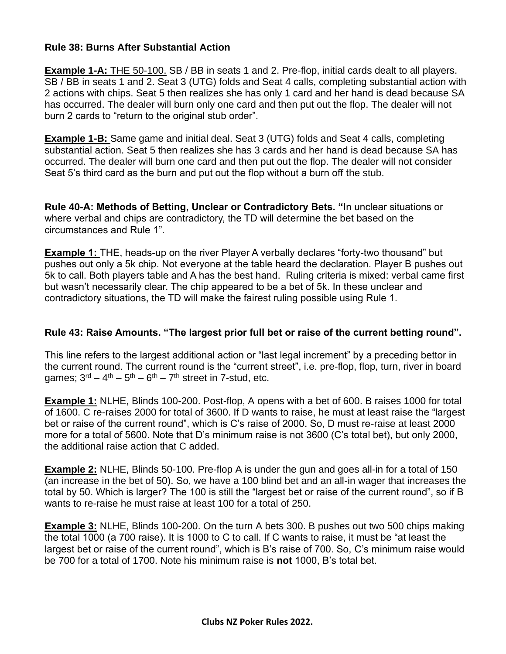## **Rule 38: Burns After Substantial Action**

**Example 1-A:** THE 50-100. SB / BB in seats 1 and 2. Pre-flop, initial cards dealt to all players. SB / BB in seats 1 and 2. Seat 3 (UTG) folds and Seat 4 calls, completing substantial action with 2 actions with chips. Seat 5 then realizes she has only 1 card and her hand is dead because SA has occurred. The dealer will burn only one card and then put out the flop. The dealer will not burn 2 cards to "return to the original stub order".

**Example 1-B:** Same game and initial deal. Seat 3 (UTG) folds and Seat 4 calls, completing substantial action. Seat 5 then realizes she has 3 cards and her hand is dead because SA has occurred. The dealer will burn one card and then put out the flop. The dealer will not consider Seat 5's third card as the burn and put out the flop without a burn off the stub.

**Rule 40-A: Methods of Betting, Unclear or Contradictory Bets. "**In unclear situations or where verbal and chips are contradictory, the TD will determine the bet based on the circumstances and Rule 1".

**Example 1:** THE, heads-up on the river Player A verbally declares "forty-two thousand" but pushes out only a 5k chip. Not everyone at the table heard the declaration. Player B pushes out 5k to call. Both players table and A has the best hand. Ruling criteria is mixed: verbal came first but wasn't necessarily clear. The chip appeared to be a bet of 5k. In these unclear and contradictory situations, the TD will make the fairest ruling possible using Rule 1.

## **Rule 43: Raise Amounts. "The largest prior full bet or raise of the current betting round".**

This line refers to the largest additional action or "last legal increment" by a preceding bettor in the current round. The current round is the "current street", i.e. pre-flop, flop, turn, river in board games;  $3^{\text{rd}} - 4^{\text{th}} - 5^{\text{th}} - 6^{\text{th}} - 7^{\text{th}}$  street in 7-stud, etc.

**Example 1:** NLHE, Blinds 100-200. Post-flop, A opens with a bet of 600. B raises 1000 for total of 1600. C re-raises 2000 for total of 3600. If D wants to raise, he must at least raise the "largest bet or raise of the current round", which is C's raise of 2000. So, D must re-raise at least 2000 more for a total of 5600. Note that D's minimum raise is not 3600 (C's total bet), but only 2000, the additional raise action that C added.

**Example 2:** NLHE, Blinds 50-100. Pre-flop A is under the gun and goes all-in for a total of 150 (an increase in the bet of 50). So, we have a 100 blind bet and an all-in wager that increases the total by 50. Which is larger? The 100 is still the "largest bet or raise of the current round", so if B wants to re-raise he must raise at least 100 for a total of 250.

**Example 3:** NLHE, Blinds 100-200. On the turn A bets 300. B pushes out two 500 chips making the total 1000 (a 700 raise). It is 1000 to C to call. If C wants to raise, it must be "at least the largest bet or raise of the current round", which is B's raise of 700. So, C's minimum raise would be 700 for a total of 1700. Note his minimum raise is **not** 1000, B's total bet.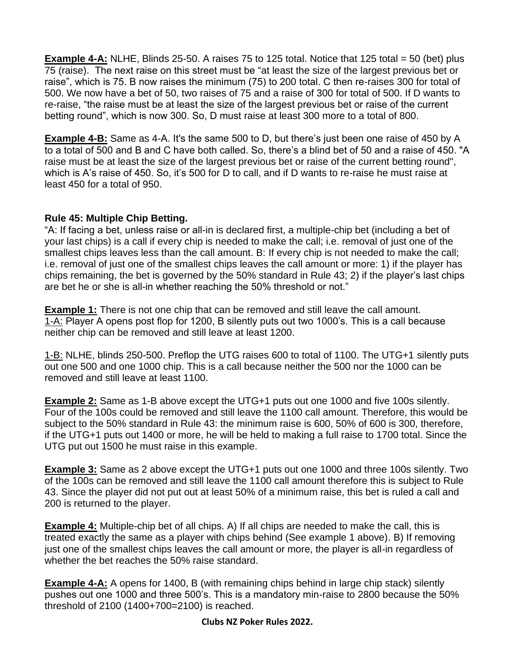**Example 4-A:** NLHE, Blinds 25-50. A raises 75 to 125 total. Notice that 125 total = 50 (bet) plus 75 (raise). The next raise on this street must be "at least the size of the largest previous bet or raise", which is 75. B now raises the minimum (75) to 200 total. C then re-raises 300 for total of 500. We now have a bet of 50, two raises of 75 and a raise of 300 for total of 500. If D wants to re-raise, "the raise must be at least the size of the largest previous bet or raise of the current betting round", which is now 300. So, D must raise at least 300 more to a total of 800.

**Example 4-B:** Same as 4-A. It's the same 500 to D, but there's just been one raise of 450 by A to a total of 500 and B and C have both called. So, there's a blind bet of 50 and a raise of 450. "A raise must be at least the size of the largest previous bet or raise of the current betting round", which is A's raise of 450. So, it's 500 for D to call, and if D wants to re-raise he must raise at least 450 for a total of 950.

## **Rule 45: Multiple Chip Betting.**

"A: If facing a bet, unless raise or all-in is declared first, a multiple-chip bet (including a bet of your last chips) is a call if every chip is needed to make the call; i.e. removal of just one of the smallest chips leaves less than the call amount. B: If every chip is not needed to make the call; i.e. removal of just one of the smallest chips leaves the call amount or more: 1) if the player has chips remaining, the bet is governed by the 50% standard in Rule 43; 2) if the player's last chips are bet he or she is all-in whether reaching the 50% threshold or not."

**Example 1:** There is not one chip that can be removed and still leave the call amount. 1-A: Player A opens post flop for 1200, B silently puts out two 1000's. This is a call because neither chip can be removed and still leave at least 1200.

1-B: NLHE, blinds 250-500. Preflop the UTG raises 600 to total of 1100. The UTG+1 silently puts out one 500 and one 1000 chip. This is a call because neither the 500 nor the 1000 can be removed and still leave at least 1100.

**Example 2:** Same as 1-B above except the UTG+1 puts out one 1000 and five 100s silently. Four of the 100s could be removed and still leave the 1100 call amount. Therefore, this would be subject to the 50% standard in Rule 43: the minimum raise is 600, 50% of 600 is 300, therefore, if the UTG+1 puts out 1400 or more, he will be held to making a full raise to 1700 total. Since the UTG put out 1500 he must raise in this example.

**Example 3:** Same as 2 above except the UTG+1 puts out one 1000 and three 100s silently. Two of the 100s can be removed and still leave the 1100 call amount therefore this is subject to Rule 43. Since the player did not put out at least 50% of a minimum raise, this bet is ruled a call and 200 is returned to the player.

**Example 4:** Multiple-chip bet of all chips. A) If all chips are needed to make the call, this is treated exactly the same as a player with chips behind (See example 1 above). B) If removing just one of the smallest chips leaves the call amount or more, the player is all-in regardless of whether the bet reaches the 50% raise standard.

**Example 4-A:** A opens for 1400, B (with remaining chips behind in large chip stack) silently pushes out one 1000 and three 500's. This is a mandatory min-raise to 2800 because the 50% threshold of 2100 (1400+700=2100) is reached.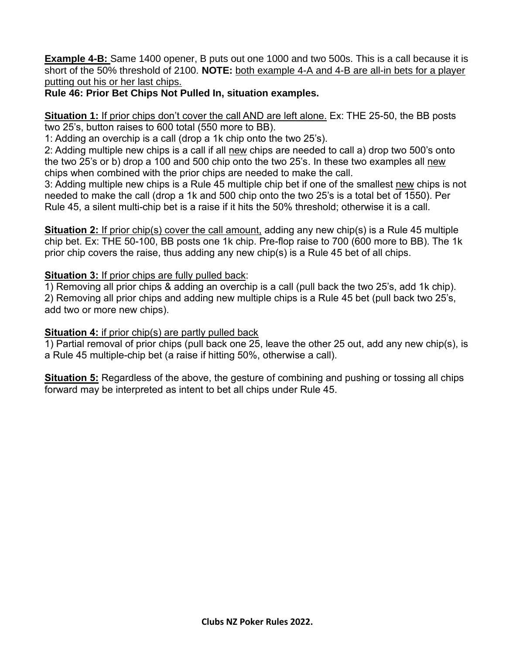**Example 4-B:** Same 1400 opener, B puts out one 1000 and two 500s. This is a call because it is short of the 50% threshold of 2100. **NOTE:** both example 4-A and 4-B are all-in bets for a player putting out his or her last chips.

# **Rule 46: Prior Bet Chips Not Pulled In, situation examples.**

**Situation 1:** If prior chips don't cover the call AND are left alone. Ex: THE 25-50, the BB posts two 25's, button raises to 600 total (550 more to BB).

1: Adding an overchip is a call (drop a 1k chip onto the two 25's).

2: Adding multiple new chips is a call if all new chips are needed to call a) drop two 500's onto the two 25's or b) drop a 100 and 500 chip onto the two 25's. In these two examples all new chips when combined with the prior chips are needed to make the call.

3: Adding multiple new chips is a Rule 45 multiple chip bet if one of the smallest new chips is not needed to make the call (drop a 1k and 500 chip onto the two 25's is a total bet of 1550). Per Rule 45, a silent multi-chip bet is a raise if it hits the 50% threshold; otherwise it is a call.

**Situation 2:** If prior chip(s) cover the call amount, adding any new chip(s) is a Rule 45 multiple chip bet. Ex: THE 50-100, BB posts one 1k chip. Pre-flop raise to 700 (600 more to BB). The 1k prior chip covers the raise, thus adding any new chip(s) is a Rule 45 bet of all chips.

# **Situation 3:** If prior chips are fully pulled back:

1) Removing all prior chips & adding an overchip is a call (pull back the two 25's, add 1k chip).

2) Removing all prior chips and adding new multiple chips is a Rule 45 bet (pull back two 25's, add two or more new chips).

# **Situation 4:** if prior chip(s) are partly pulled back

1) Partial removal of prior chips (pull back one 25, leave the other 25 out, add any new chip(s), is a Rule 45 multiple-chip bet (a raise if hitting 50%, otherwise a call).

**Situation 5:** Regardless of the above, the gesture of combining and pushing or tossing all chips forward may be interpreted as intent to bet all chips under Rule 45.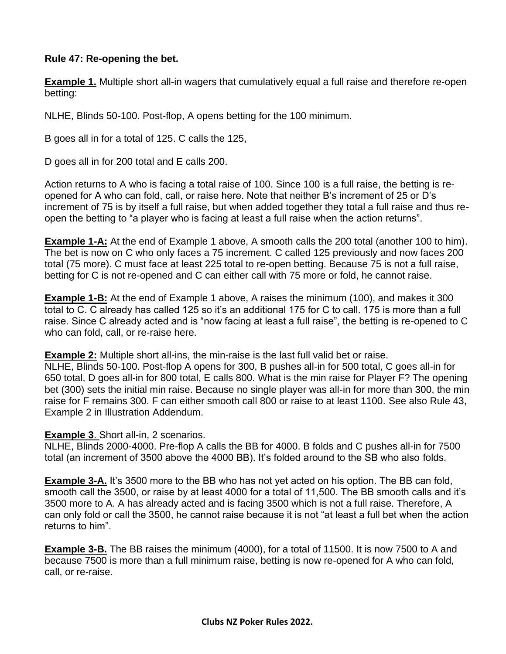## **Rule 47: Re-opening the bet.**

**Example 1.** Multiple short all-in wagers that cumulatively equal a full raise and therefore re-open betting:

NLHE, Blinds 50-100. Post-flop, A opens betting for the 100 minimum.

B goes all in for a total of 125. C calls the 125,

D goes all in for 200 total and E calls 200.

Action returns to A who is facing a total raise of 100. Since 100 is a full raise, the betting is reopened for A who can fold, call, or raise here. Note that neither B's increment of 25 or D's increment of 75 is by itself a full raise, but when added together they total a full raise and thus reopen the betting to "a player who is facing at least a full raise when the action returns".

**Example 1-A:** At the end of Example 1 above, A smooth calls the 200 total (another 100 to him). The bet is now on C who only faces a 75 increment. C called 125 previously and now faces 200 total (75 more). C must face at least 225 total to re-open betting. Because 75 is not a full raise, betting for C is not re-opened and C can either call with 75 more or fold, he cannot raise.

**Example 1-B:** At the end of Example 1 above, A raises the minimum (100), and makes it 300 total to C. C already has called 125 so it's an additional 175 for C to call. 175 is more than a full raise. Since C already acted and is "now facing at least a full raise", the betting is re-opened to C who can fold, call, or re-raise here.

**Example 2:** Multiple short all-ins, the min-raise is the last full valid bet or raise.

NLHE, Blinds 50-100. Post-flop A opens for 300, B pushes all-in for 500 total, C goes all-in for 650 total, D goes all-in for 800 total, E calls 800. What is the min raise for Player F? The opening bet (300) sets the initial min raise. Because no single player was all-in for more than 300, the min raise for F remains 300. F can either smooth call 800 or raise to at least 1100. See also Rule 43, Example 2 in Illustration Addendum.

## **Example 3**. Short all-in, 2 scenarios.

NLHE, Blinds 2000-4000. Pre-flop A calls the BB for 4000. B folds and C pushes all-in for 7500 total (an increment of 3500 above the 4000 BB). It's folded around to the SB who also folds.

**Example 3-A.** It's 3500 more to the BB who has not yet acted on his option. The BB can fold, smooth call the 3500, or raise by at least 4000 for a total of 11,500. The BB smooth calls and it's 3500 more to A. A has already acted and is facing 3500 which is not a full raise. Therefore, A can only fold or call the 3500, he cannot raise because it is not "at least a full bet when the action returns to him".

**Example 3-B.** The BB raises the minimum (4000), for a total of 11500. It is now 7500 to A and because 7500 is more than a full minimum raise, betting is now re-opened for A who can fold, call, or re-raise.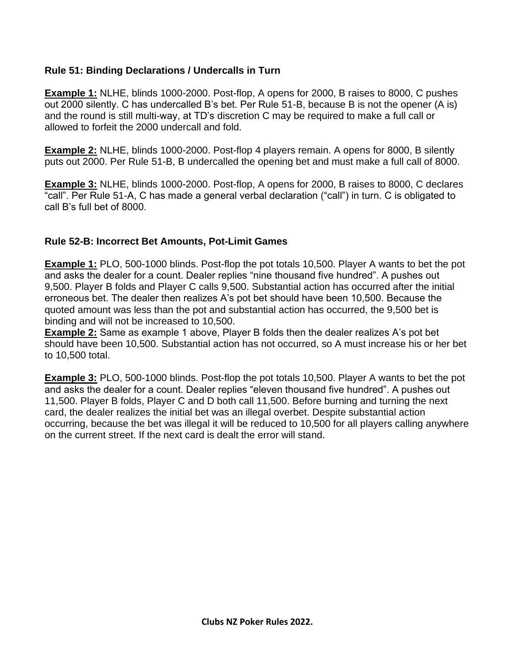# **Rule 51: Binding Declarations / Undercalls in Turn**

**Example 1:** NLHE, blinds 1000-2000. Post-flop, A opens for 2000, B raises to 8000, C pushes out 2000 silently. C has undercalled B's bet. Per Rule 51-B, because B is not the opener (A is) and the round is still multi-way, at TD's discretion C may be required to make a full call or allowed to forfeit the 2000 undercall and fold.

**Example 2:** NLHE, blinds 1000-2000. Post-flop 4 players remain. A opens for 8000, B silently puts out 2000. Per Rule 51-B, B undercalled the opening bet and must make a full call of 8000.

**Example 3:** NLHE, blinds 1000-2000. Post-flop, A opens for 2000, B raises to 8000, C declares "call". Per Rule 51-A, C has made a general verbal declaration ("call") in turn. C is obligated to call B's full bet of 8000.

## **Rule 52-B: Incorrect Bet Amounts, Pot-Limit Games**

**Example 1:** PLO, 500-1000 blinds. Post-flop the pot totals 10,500. Player A wants to bet the pot and asks the dealer for a count. Dealer replies "nine thousand five hundred". A pushes out 9,500. Player B folds and Player C calls 9,500. Substantial action has occurred after the initial erroneous bet. The dealer then realizes A's pot bet should have been 10,500. Because the quoted amount was less than the pot and substantial action has occurred, the 9,500 bet is binding and will not be increased to 10,500.

**Example 2:** Same as example 1 above, Player B folds then the dealer realizes A's pot bet should have been 10,500. Substantial action has not occurred, so A must increase his or her bet to 10,500 total.

**Example 3:** PLO, 500-1000 blinds. Post-flop the pot totals 10,500. Player A wants to bet the pot and asks the dealer for a count. Dealer replies "eleven thousand five hundred". A pushes out 11,500. Player B folds, Player C and D both call 11,500. Before burning and turning the next card, the dealer realizes the initial bet was an illegal overbet. Despite substantial action occurring, because the bet was illegal it will be reduced to 10,500 for all players calling anywhere on the current street. If the next card is dealt the error will stand.